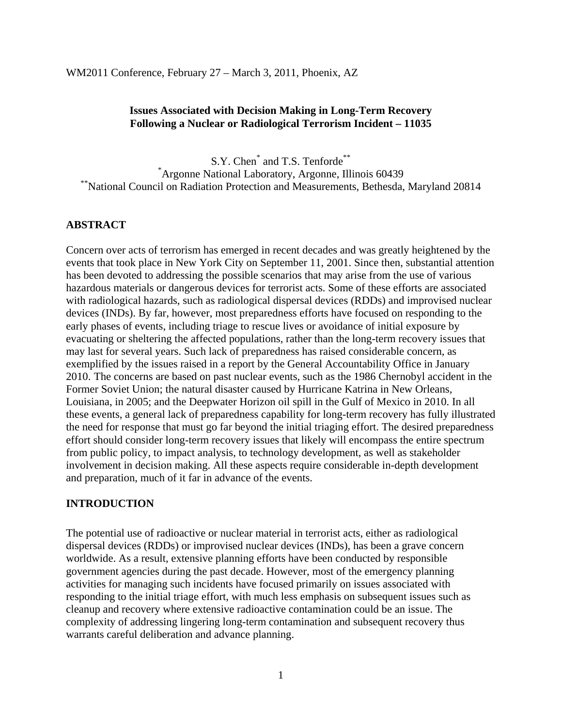WM2011 Conference, February 27 – March 3, 2011, Phoenix, AZ

#### **Issues Associated with Decision Making in Long-Term Recovery Following a Nuclear or Radiological Terrorism Incident – 11035**

S.Y. Chen<sup>\*</sup> and T.S. Tenforde<sup>\*\*</sup> \*Argonne National Laboratory, Argonne, Illinois 60439 \*\*National Council on Radiation Protection and Measurements, Bethesda, Maryland 20814

### **ABSTRACT**

Concern over acts of terrorism has emerged in recent decades and was greatly heightened by the events that took place in New York City on September 11, 2001. Since then, substantial attention has been devoted to addressing the possible scenarios that may arise from the use of various hazardous materials or dangerous devices for terrorist acts. Some of these efforts are associated with radiological hazards, such as radiological dispersal devices (RDDs) and improvised nuclear devices (INDs). By far, however, most preparedness efforts have focused on responding to the early phases of events, including triage to rescue lives or avoidance of initial exposure by evacuating or sheltering the affected populations, rather than the long-term recovery issues that may last for several years. Such lack of preparedness has raised considerable concern, as exemplified by the issues raised in a report by the General Accountability Office in January 2010. The concerns are based on past nuclear events, such as the 1986 Chernobyl accident in the Former Soviet Union; the natural disaster caused by Hurricane Katrina in New Orleans, Louisiana, in 2005; and the Deepwater Horizon oil spill in the Gulf of Mexico in 2010. In all these events, a general lack of preparedness capability for long-term recovery has fully illustrated the need for response that must go far beyond the initial triaging effort. The desired preparedness effort should consider long-term recovery issues that likely will encompass the entire spectrum from public policy, to impact analysis, to technology development, as well as stakeholder involvement in decision making. All these aspects require considerable in-depth development and preparation, much of it far in advance of the events.

#### **INTRODUCTION**

The potential use of radioactive or nuclear material in terrorist acts, either as radiological dispersal devices (RDDs) or improvised nuclear devices (INDs), has been a grave concern worldwide. As a result, extensive planning efforts have been conducted by responsible government agencies during the past decade. However, most of the emergency planning activities for managing such incidents have focused primarily on issues associated with responding to the initial triage effort, with much less emphasis on subsequent issues such as cleanup and recovery where extensive radioactive contamination could be an issue. The complexity of addressing lingering long-term contamination and subsequent recovery thus warrants careful deliberation and advance planning.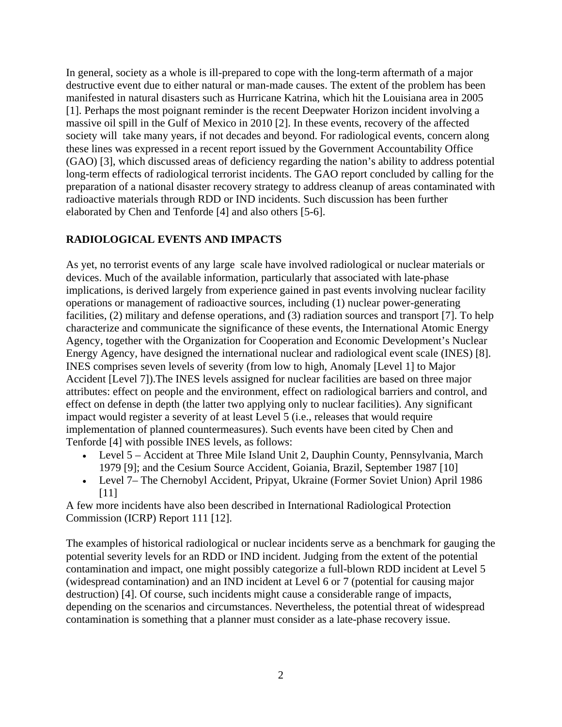In general, society as a whole is ill-prepared to cope with the long-term aftermath of a major destructive event due to either natural or man-made causes. The extent of the problem has been manifested in natural disasters such as Hurricane Katrina, which hit the Louisiana area in 2005 [1]. Perhaps the most poignant reminder is the recent Deepwater Horizon incident involving a massive oil spill in the Gulf of Mexico in 2010 [2]. In these events, recovery of the affected society will take many years, if not decades and beyond. For radiological events, concern along these lines was expressed in a recent report issued by the Government Accountability Office (GAO) [3], which discussed areas of deficiency regarding the nation's ability to address potential long-term effects of radiological terrorist incidents. The GAO report concluded by calling for the preparation of a national disaster recovery strategy to address cleanup of areas contaminated with radioactive materials through RDD or IND incidents. Such discussion has been further elaborated by Chen and Tenforde [4] and also others [5-6].

# **RADIOLOGICAL EVENTS AND IMPACTS**

As yet, no terrorist events of any large scale have involved radiological or nuclear materials or devices. Much of the available information, particularly that associated with late-phase implications, is derived largely from experience gained in past events involving nuclear facility operations or management of radioactive sources, including (1) nuclear power-generating facilities, (2) military and defense operations, and (3) radiation sources and transport [7]. To help characterize and communicate the significance of these events, the International Atomic Energy Agency, together with the Organization for Cooperation and Economic Development's Nuclear Energy Agency, have designed the international nuclear and radiological event scale (INES) [8]. INES comprises seven levels of severity (from low to high, Anomaly [Level 1] to Major Accident [Level 7]).The INES levels assigned for nuclear facilities are based on three major attributes: effect on people and the environment, effect on radiological barriers and control, and effect on defense in depth (the latter two applying only to nuclear facilities). Any significant impact would register a severity of at least Level 5 (i.e., releases that would require implementation of planned countermeasures). Such events have been cited by Chen and Tenforde [4] with possible INES levels, as follows:

- Level 5 Accident at Three Mile Island Unit 2, Dauphin County, Pennsylvania, March 1979 [9]; and the Cesium Source Accident, Goiania, Brazil, September 1987 [10]
- Level 7– The Chernobyl Accident, Pripyat, Ukraine (Former Soviet Union) April 1986 [11]

A few more incidents have also been described in International Radiological Protection Commission (ICRP) Report 111 [12].

The examples of historical radiological or nuclear incidents serve as a benchmark for gauging the potential severity levels for an RDD or IND incident. Judging from the extent of the potential contamination and impact, one might possibly categorize a full-blown RDD incident at Level 5 (widespread contamination) and an IND incident at Level 6 or 7 (potential for causing major destruction) [4]. Of course, such incidents might cause a considerable range of impacts, depending on the scenarios and circumstances. Nevertheless, the potential threat of widespread contamination is something that a planner must consider as a late-phase recovery issue.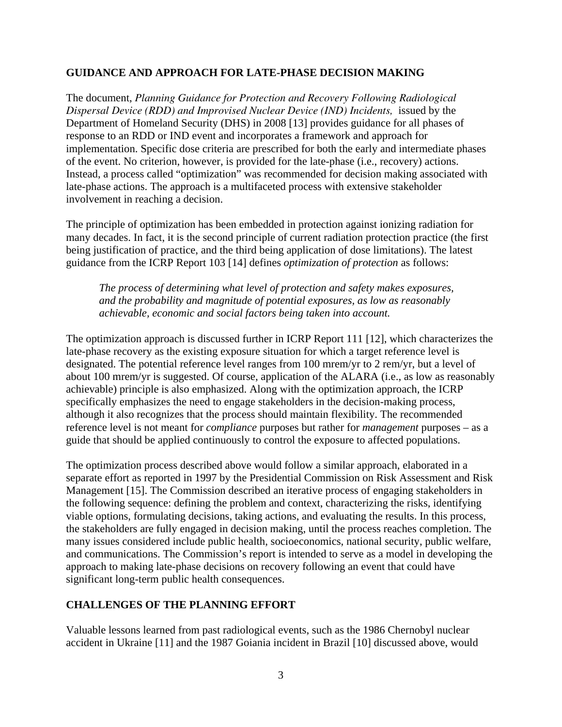### **GUIDANCE AND APPROACH FOR LATE-PHASE DECISION MAKING**

The document, *Planning Guidance for Protection and Recovery Following Radiological Dispersal Device (RDD) and Improvised Nuclear Device (IND) Incidents, issued by the* Department of Homeland Security (DHS) in 2008 [13] provides guidance for all phases of response to an RDD or IND event and incorporates a framework and approach for implementation. Specific dose criteria are prescribed for both the early and intermediate phases of the event. No criterion, however, is provided for the late-phase (i.e., recovery) actions. Instead, a process called "optimization" was recommended for decision making associated with late-phase actions. The approach is a multifaceted process with extensive stakeholder involvement in reaching a decision.

The principle of optimization has been embedded in protection against ionizing radiation for many decades. In fact, it is the second principle of current radiation protection practice (the first being justification of practice, and the third being application of dose limitations). The latest guidance from the ICRP Report 103 [14] defines *optimization of protection* as follows:

*The process of determining what level of protection and safety makes exposures, and the probability and magnitude of potential exposures, as low as reasonably achievable, economic and social factors being taken into account.* 

The optimization approach is discussed further in ICRP Report 111 [12], which characterizes the late-phase recovery as the existing exposure situation for which a target reference level is designated. The potential reference level ranges from 100 mrem/yr to 2 rem/yr, but a level of about 100 mrem/yr is suggested. Of course, application of the ALARA (i.e., as low as reasonably achievable) principle is also emphasized. Along with the optimization approach, the ICRP specifically emphasizes the need to engage stakeholders in the decision-making process, although it also recognizes that the process should maintain flexibility. The recommended reference level is not meant for *compliance* purposes but rather for *management* purposes – as a guide that should be applied continuously to control the exposure to affected populations.

The optimization process described above would follow a similar approach, elaborated in a separate effort as reported in 1997 by the Presidential Commission on Risk Assessment and Risk Management [15]. The Commission described an iterative process of engaging stakeholders in the following sequence: defining the problem and context, characterizing the risks, identifying viable options, formulating decisions, taking actions, and evaluating the results. In this process, the stakeholders are fully engaged in decision making, until the process reaches completion. The many issues considered include public health, socioeconomics, national security, public welfare, and communications. The Commission's report is intended to serve as a model in developing the approach to making late-phase decisions on recovery following an event that could have significant long-term public health consequences.

## **CHALLENGES OF THE PLANNING EFFORT**

Valuable lessons learned from past radiological events, such as the 1986 Chernobyl nuclear accident in Ukraine [11] and the 1987 Goiania incident in Brazil [10] discussed above, would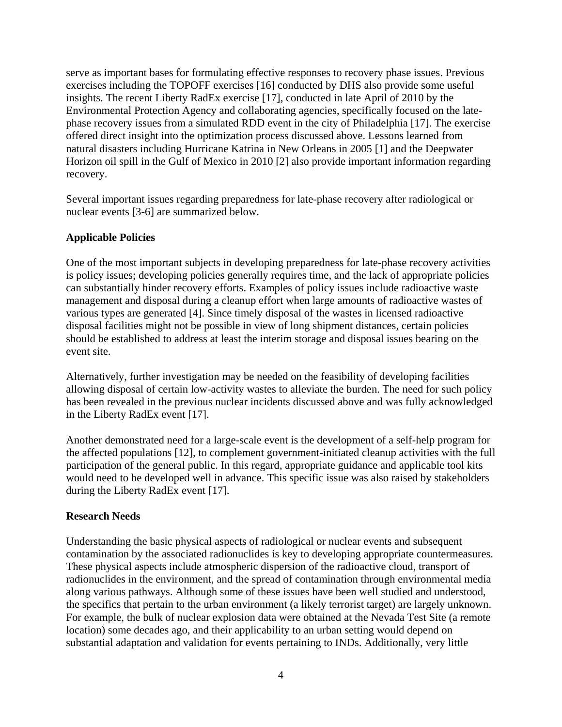serve as important bases for formulating effective responses to recovery phase issues. Previous exercises including the TOPOFF exercises [16] conducted by DHS also provide some useful insights. The recent Liberty RadEx exercise [17], conducted in late April of 2010 by the Environmental Protection Agency and collaborating agencies, specifically focused on the latephase recovery issues from a simulated RDD event in the city of Philadelphia [17]. The exercise offered direct insight into the optimization process discussed above. Lessons learned from natural disasters including Hurricane Katrina in New Orleans in 2005 [1] and the Deepwater Horizon oil spill in the Gulf of Mexico in 2010 [2] also provide important information regarding recovery.

Several important issues regarding preparedness for late-phase recovery after radiological or nuclear events [3-6] are summarized below.

## **Applicable Policies**

One of the most important subjects in developing preparedness for late-phase recovery activities is policy issues; developing policies generally requires time, and the lack of appropriate policies can substantially hinder recovery efforts. Examples of policy issues include radioactive waste management and disposal during a cleanup effort when large amounts of radioactive wastes of various types are generated [4]. Since timely disposal of the wastes in licensed radioactive disposal facilities might not be possible in view of long shipment distances, certain policies should be established to address at least the interim storage and disposal issues bearing on the event site.

Alternatively, further investigation may be needed on the feasibility of developing facilities allowing disposal of certain low-activity wastes to alleviate the burden. The need for such policy has been revealed in the previous nuclear incidents discussed above and was fully acknowledged in the Liberty RadEx event [17].

Another demonstrated need for a large-scale event is the development of a self-help program for the affected populations [12], to complement government-initiated cleanup activities with the full participation of the general public. In this regard, appropriate guidance and applicable tool kits would need to be developed well in advance. This specific issue was also raised by stakeholders during the Liberty RadEx event [17].

### **Research Needs**

Understanding the basic physical aspects of radiological or nuclear events and subsequent contamination by the associated radionuclides is key to developing appropriate countermeasures. These physical aspects include atmospheric dispersion of the radioactive cloud, transport of radionuclides in the environment, and the spread of contamination through environmental media along various pathways. Although some of these issues have been well studied and understood, the specifics that pertain to the urban environment (a likely terrorist target) are largely unknown. For example, the bulk of nuclear explosion data were obtained at the Nevada Test Site (a remote location) some decades ago, and their applicability to an urban setting would depend on substantial adaptation and validation for events pertaining to INDs. Additionally, very little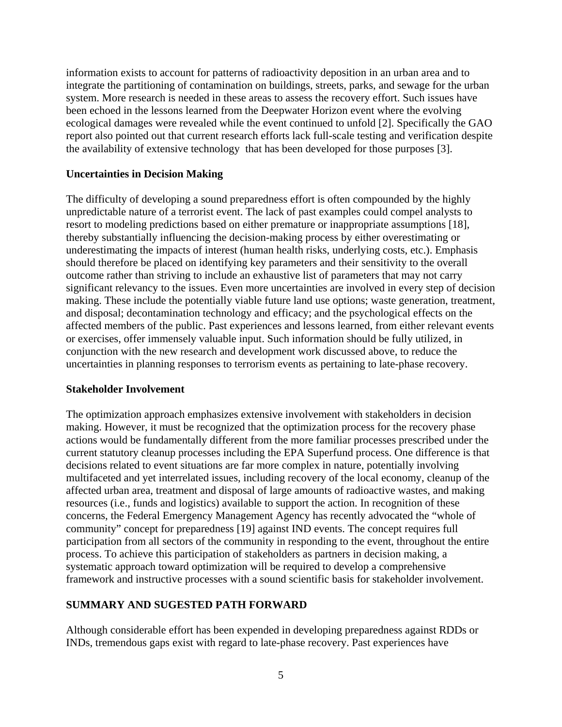information exists to account for patterns of radioactivity deposition in an urban area and to integrate the partitioning of contamination on buildings, streets, parks, and sewage for the urban system. More research is needed in these areas to assess the recovery effort. Such issues have been echoed in the lessons learned from the Deepwater Horizon event where the evolving ecological damages were revealed while the event continued to unfold [2]. Specifically the GAO report also pointed out that current research efforts lack full-scale testing and verification despite the availability of extensive technology that has been developed for those purposes [3].

#### **Uncertainties in Decision Making**

The difficulty of developing a sound preparedness effort is often compounded by the highly unpredictable nature of a terrorist event. The lack of past examples could compel analysts to resort to modeling predictions based on either premature or inappropriate assumptions [18], thereby substantially influencing the decision-making process by either overestimating or underestimating the impacts of interest (human health risks, underlying costs, etc.). Emphasis should therefore be placed on identifying key parameters and their sensitivity to the overall outcome rather than striving to include an exhaustive list of parameters that may not carry significant relevancy to the issues. Even more uncertainties are involved in every step of decision making. These include the potentially viable future land use options; waste generation, treatment, and disposal; decontamination technology and efficacy; and the psychological effects on the affected members of the public. Past experiences and lessons learned, from either relevant events or exercises, offer immensely valuable input. Such information should be fully utilized, in conjunction with the new research and development work discussed above, to reduce the uncertainties in planning responses to terrorism events as pertaining to late-phase recovery.

#### **Stakeholder Involvement**

The optimization approach emphasizes extensive involvement with stakeholders in decision making. However, it must be recognized that the optimization process for the recovery phase actions would be fundamentally different from the more familiar processes prescribed under the current statutory cleanup processes including the EPA Superfund process. One difference is that decisions related to event situations are far more complex in nature, potentially involving multifaceted and yet interrelated issues, including recovery of the local economy, cleanup of the affected urban area, treatment and disposal of large amounts of radioactive wastes, and making resources (i.e., funds and logistics) available to support the action. In recognition of these concerns, the Federal Emergency Management Agency has recently advocated the "whole of community" concept for preparedness [19] against IND events. The concept requires full participation from all sectors of the community in responding to the event, throughout the entire process. To achieve this participation of stakeholders as partners in decision making, a systematic approach toward optimization will be required to develop a comprehensive framework and instructive processes with a sound scientific basis for stakeholder involvement.

### **SUMMARY AND SUGESTED PATH FORWARD**

Although considerable effort has been expended in developing preparedness against RDDs or INDs, tremendous gaps exist with regard to late-phase recovery. Past experiences have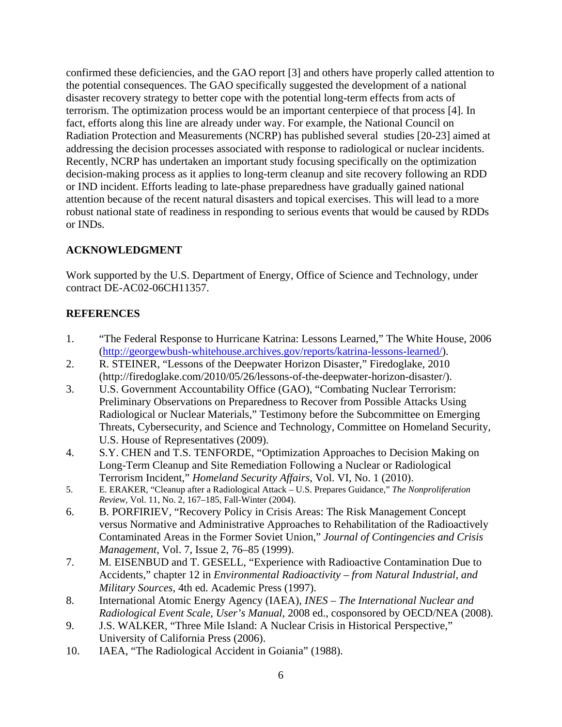confirmed these deficiencies, and the GAO report [3] and others have properly called attention to the potential consequences. The GAO specifically suggested the development of a national disaster recovery strategy to better cope with the potential long-term effects from acts of terrorism. The optimization process would be an important centerpiece of that process [4]. In fact, efforts along this line are already under way. For example, the National Council on Radiation Protection and Measurements (NCRP) has published several studies [20-23] aimed at addressing the decision processes associated with response to radiological or nuclear incidents. Recently, NCRP has undertaken an important study focusing specifically on the optimization decision-making process as it applies to long-term cleanup and site recovery following an RDD or IND incident. Efforts leading to late-phase preparedness have gradually gained national attention because of the recent natural disasters and topical exercises. This will lead to a more robust national state of readiness in responding to serious events that would be caused by RDDs or INDs.

# **ACKNOWLEDGMENT**

Work supported by the U.S. Department of Energy, Office of Science and Technology, under contract DE-AC02-06CH11357.

# **REFERENCES**

- 1. "The Federal Response to Hurricane Katrina: Lessons Learned," The White House, 2006 ([http://georgewbush-whitehouse.archives.gov/reports/katrina-lessons-learned/\)](http://georgewbush-whitehouse.archives.gov/reports/katrina-lessons-learned/).
- 2. R. STEINER, "Lessons of the Deepwater Horizon Disaster," Firedoglake, 2010 (http://firedoglake.com/2010/05/26/lessons-of-the-deepwater-horizon-disaster/).
- 3. U.S. Government Accountability Office (GAO), "Combating Nuclear Terrorism: Preliminary Observations on Preparedness to Recover from Possible Attacks Using Radiological or Nuclear Materials," Testimony before the Subcommittee on Emerging Threats, Cybersecurity, and Science and Technology, Committee on Homeland Security, U.S. House of Representatives (2009).
- 4. S.Y. CHEN and T.S. TENFORDE, "Optimization Approaches to Decision Making on Long-Term Cleanup and Site Remediation Following a Nuclear or Radiological Terrorism Incident," *Homeland Security Affairs*, Vol. VI, No. 1 (2010).
- 5. E. ERAKER, "Cleanup after a Radiological Attack U.S. Prepares Guidance," *The Nonproliferation Review*, Vol. 11, No. 2, 167–185, Fall-Winter (2004).
- 6. B. PORFIRIEV, "Recovery Policy in Crisis Areas: The Risk Management Concept versus Normative and Administrative Approaches to Rehabilitation of the Radioactively Contaminated Areas in the Former Soviet Union," *Journal of Contingencies and Crisis Management*, Vol. 7, Issue 2, 76–85 (1999).
- 7. M. EISENBUD and T. GESELL, "Experience with Radioactive Contamination Due to Accidents," chapter 12 in *Environmental Radioactivity – from Natural Industrial, and Military Sources*, 4th ed. Academic Press (1997).
- 8. International Atomic Energy Agency (IAEA), *INES The International Nuclear and Radiological Event Scale, User's Manual*, 2008 ed., cosponsored by OECD/NEA (2008).
- 9. J.S. WALKER, "Three Mile Island: A Nuclear Crisis in Historical Perspective," University of California Press (2006).
- 10. IAEA, "The Radiological Accident in Goiania" (1988).